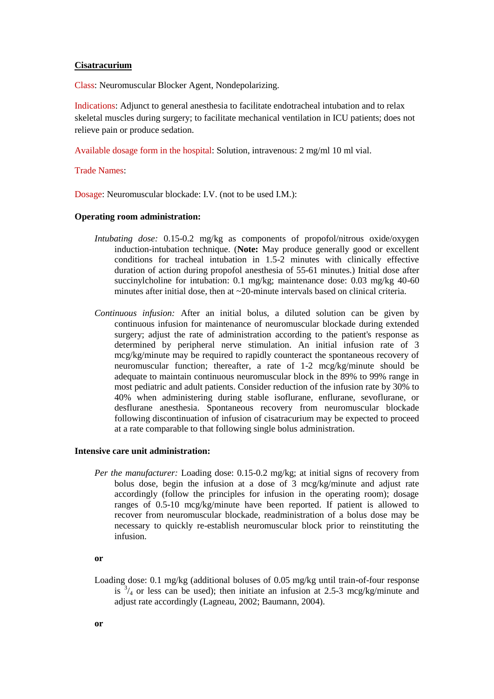## **Cisatracurium**

Class: Neuromuscular Blocker Agent, Nondepolarizing.

Indications: Adjunct to general anesthesia to facilitate endotracheal intubation and to relax skeletal muscles during surgery; to facilitate mechanical ventilation in ICU patients; does not relieve pain or produce sedation.

Available dosage form in the hospital: Solution, intravenous: 2 mg/ml 10 ml vial.

Trade Names:

Dosage: Neuromuscular blockade: I.V. (not to be used I.M.):

## **Operating room administration:**

- *Intubating dose:* 0.15-0.2 mg/kg as components of propofol/nitrous oxide/oxygen induction-intubation technique. (**Note:** May produce generally good or excellent conditions for tracheal intubation in 1.5-2 minutes with clinically effective duration of action during propofol anesthesia of 55-61 minutes.) Initial dose after succinylcholine for intubation: 0.1 mg/kg; maintenance dose: 0.03 mg/kg 40-60 minutes after initial dose, then at  $\sim$ 20-minute intervals based on clinical criteria.
- *Continuous infusion:* After an initial bolus, a diluted solution can be given by continuous infusion for maintenance of neuromuscular blockade during extended surgery; adjust the rate of administration according to the patient's response as determined by peripheral nerve stimulation. An initial infusion rate of 3 mcg/kg/minute may be required to rapidly counteract the spontaneous recovery of neuromuscular function; thereafter, a rate of 1-2 mcg/kg/minute should be adequate to maintain continuous neuromuscular block in the 89% to 99% range in most pediatric and adult patients. Consider reduction of the infusion rate by 30% to 40% when administering during stable isoflurane, enflurane, sevoflurane, or desflurane anesthesia. Spontaneous recovery from neuromuscular blockade following discontinuation of infusion of cisatracurium may be expected to proceed at a rate comparable to that following single bolus administration.

## **Intensive care unit administration:**

*Per the manufacturer:* Loading dose: 0.15-0.2 mg/kg; at initial signs of recovery from bolus dose, begin the infusion at a dose of 3 mcg/kg/minute and adjust rate accordingly (follow the principles for infusion in the operating room); dosage ranges of 0.5-10 mcg/kg/minute have been reported. If patient is allowed to recover from neuromuscular blockade, readministration of a bolus dose may be necessary to quickly re-establish neuromuscular block prior to reinstituting the infusion.

**or**

Loading dose: 0.1 mg/kg (additional boluses of 0.05 mg/kg until train-of-four response is  $3/4$  or less can be used); then initiate an infusion at 2.5-3 mcg/kg/minute and adjust rate accordingly (Lagneau, 2002; Baumann, 2004).